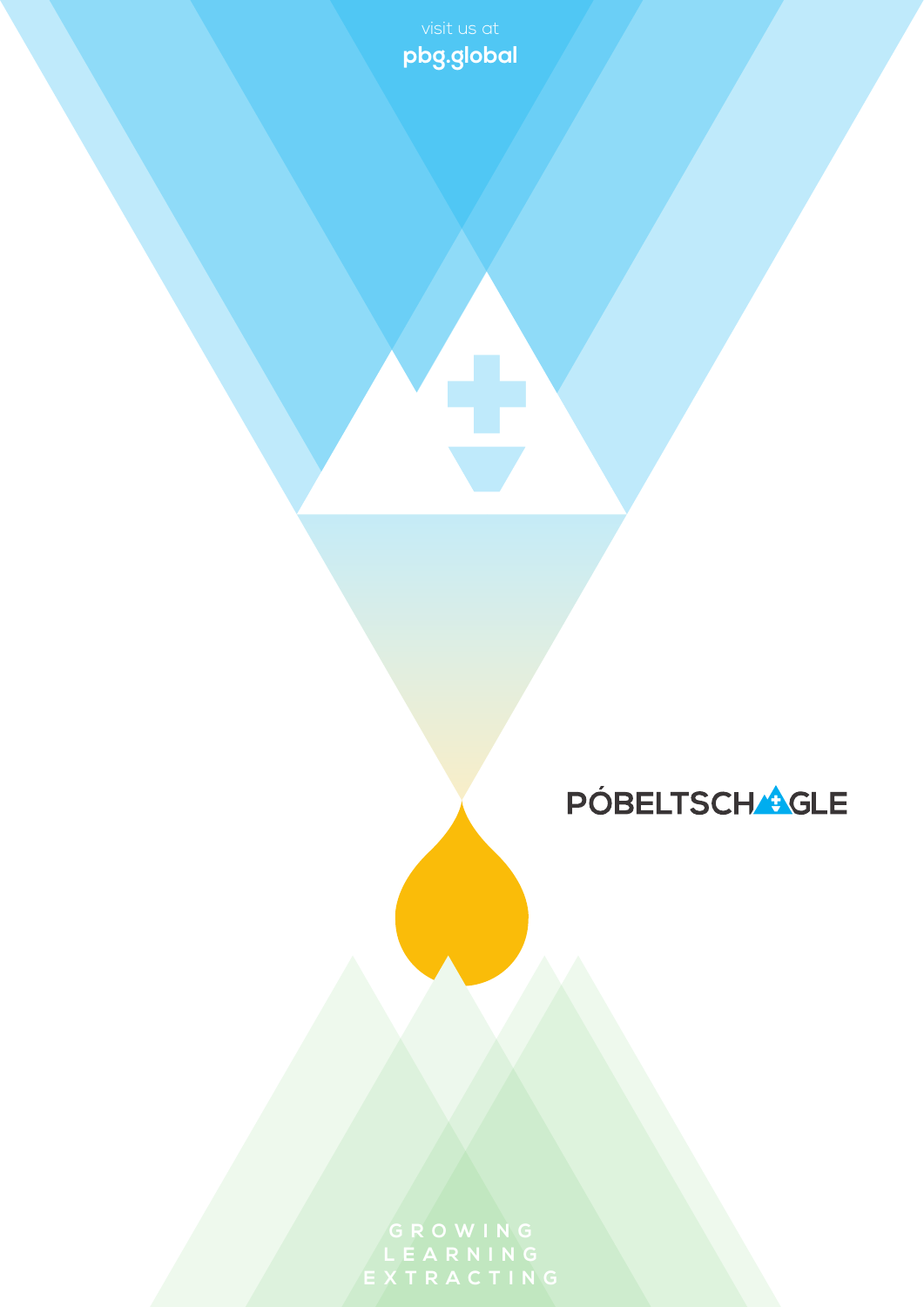**pbg.global**

## **PÓBELTSCHAGLE**

**EXTRACTING**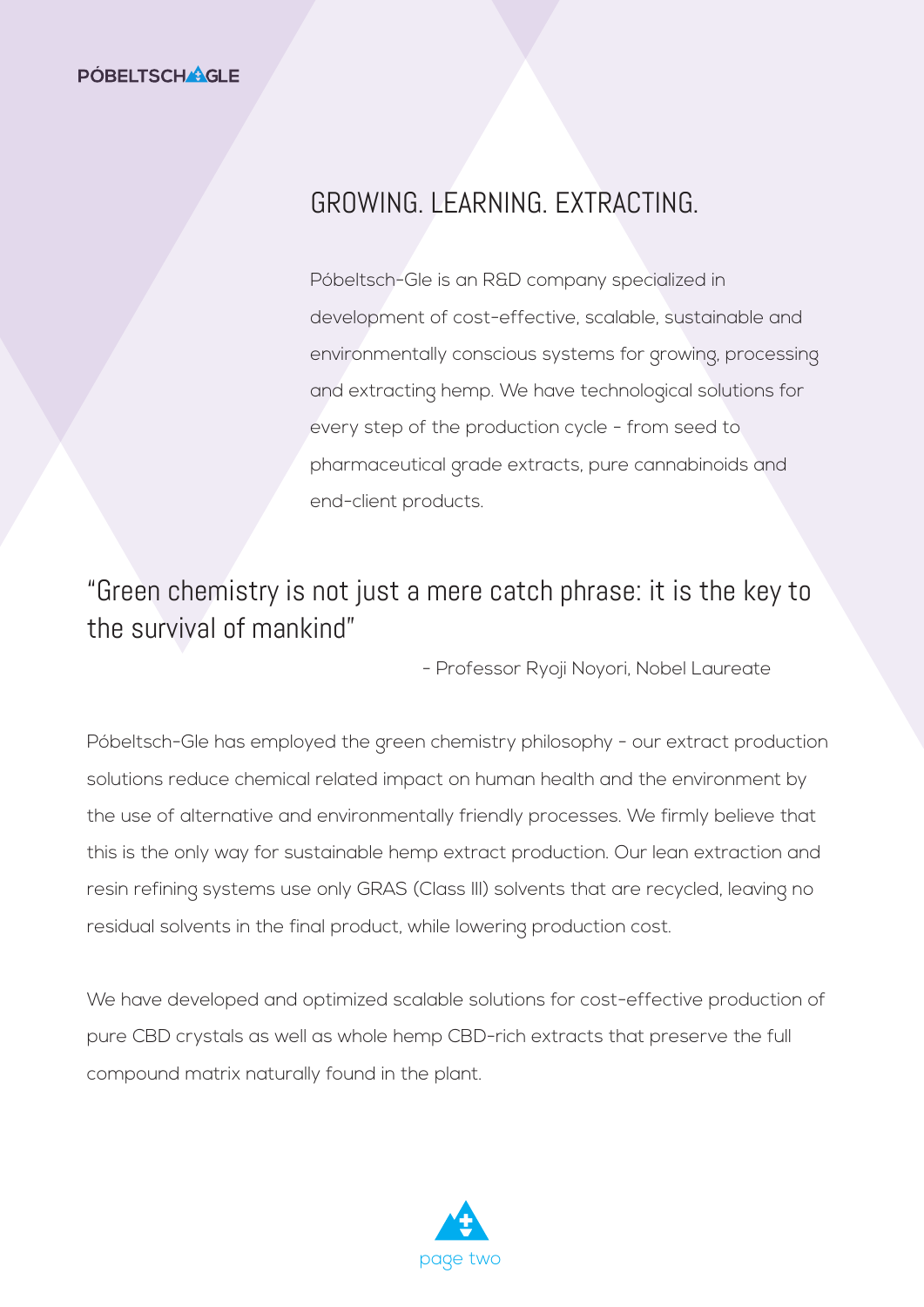#### GROWING. LEARNING. EXTRACTING.

Póbeltsch-Gle is an R&D company specialized in development of cost-effective, scalable, sustainable and environmentally conscious systems for growing, processing and extracting hemp. We have technological solutions for every step of the production cycle - from seed to pharmaceutical grade extracts, pure cannabinoids and end-client products.

#### "Green chemistry is not just a mere catch phrase: it is the key to the survival of mankind"

- Professor Ryoji Noyori, Nobel Laureate

Póbeltsch-Gle has employed the green chemistry philosophy - our extract production solutions reduce chemical related impact on human health and the environment by the use of alternative and environmentally friendly processes. We firmly believe that this is the only way for sustainable hemp extract production. Our lean extraction and resin refining systems use only GRAS (Class III) solvents that are recycled, leaving no residual solvents in the final product, while lowering production cost.

We have developed and optimized scalable solutions for cost-effective production of pure CBD crystals as well as whole hemp CBD-rich extracts that preserve the full compound matrix naturally found in the plant.

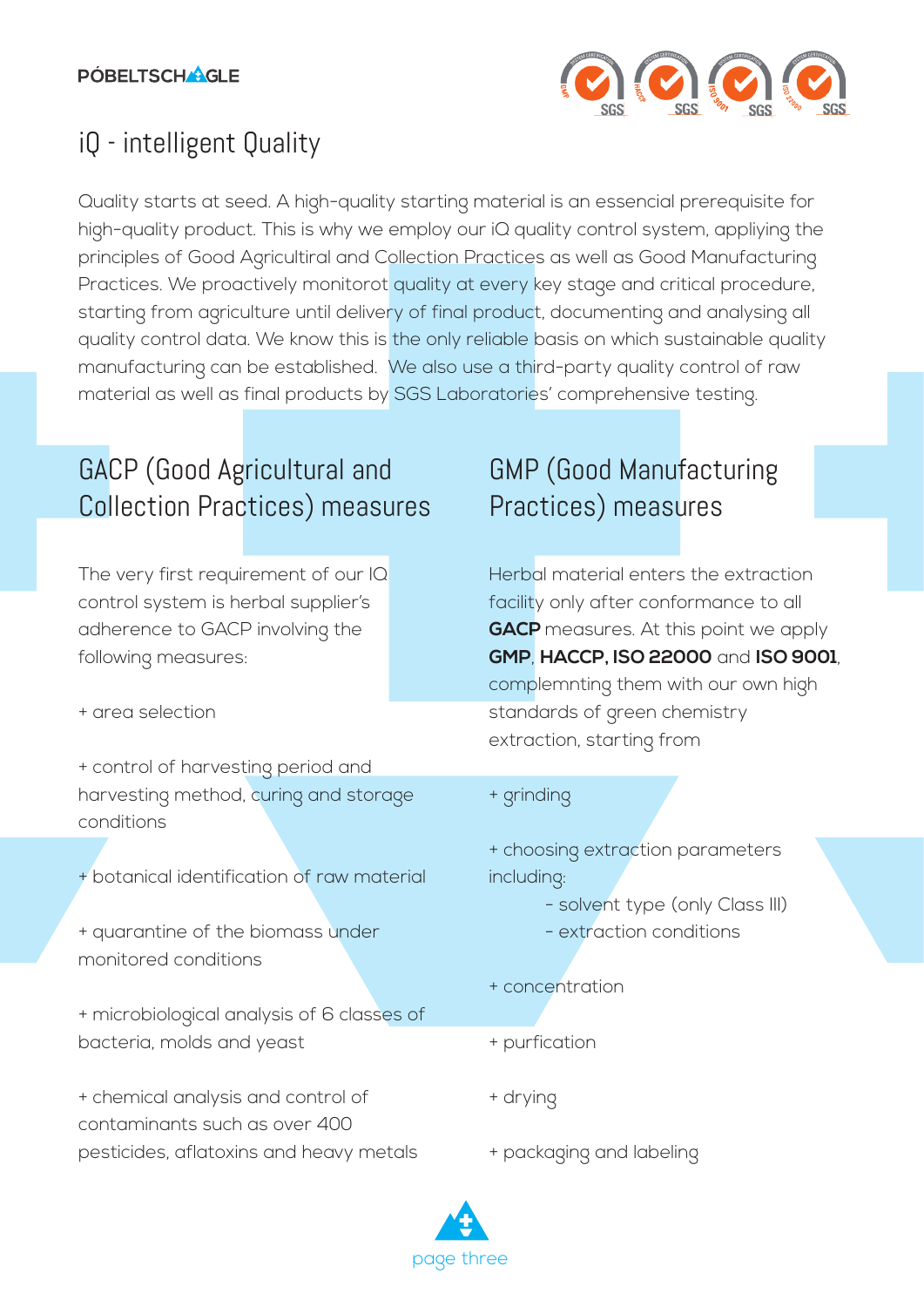

### iQ - intelligent Quality

Quality starts at seed. A high-quality starting material is an essencial prerequisite for high-quality product. This is why we employ our iQ quality control system, appliying the principles of Good Agricultiral and Collection Practices as well as Good Manufacturing Practices. We proactively monitorot quality at every key stage and critical procedure, starting from agriculture until delivery of final product, documenting and analysing all quality control data. We know this is the only reliable basis on which sustainable quality manufacturing can be established. We also use a third-party quality control of raw material as well as final products by SGS Laboratories' comprehensive testing.

### GACP (Good Agricultural and Collection Practices) measures

The very first requirement of our IQ control system is herbal supplier's adherence to GACP involving the following measures:

+ area selection

- + control of harvesting period and harvesting method, curing and storage conditions
- + botanical identification of raw material

+ quarantine of the biomass under monitored conditions

+ microbiological analysis of 6 classes of bacteria, molds and yeast

+ chemical analysis and control of contaminants such as over 400 pesticides, aflatoxins and heavy metals

### GMP (Good Manufacturing Practices) measures

Herbal material enters the extraction facility only after conformance to all **GACP** measures. At this point we apply **GMP**, **HACCP, ISO 22000** and **ISO 9001**, complemnting them with our own high standards of green chemistry extraction, starting from

#### + grinding

+ choosing extraction parameters including:

- solvent type (only Class III)
- extraction conditions
- + concentration
- + purfication
- + drying
- + packaging and labeling

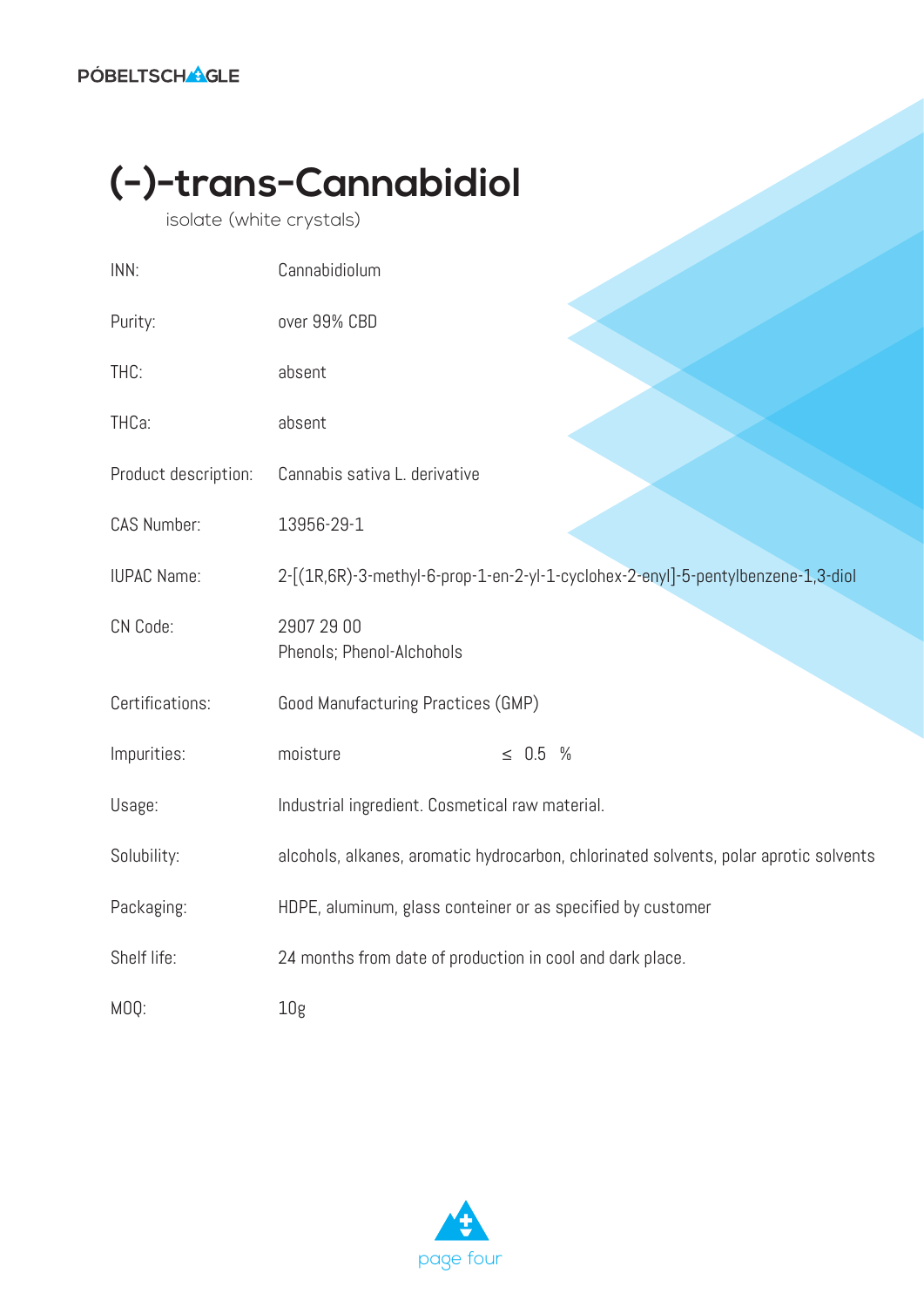# **(-)-trans-Cannabidiol**

isolate (white crystals)

| INN:                 | Cannabidiolum                                                                         |
|----------------------|---------------------------------------------------------------------------------------|
| Purity:              | over 99% CBD                                                                          |
| THC:                 | absent                                                                                |
| THCa:                | absent                                                                                |
| Product description: | Cannabis sativa L. derivative                                                         |
| CAS Number:          | 13956-29-1                                                                            |
| <b>IUPAC Name:</b>   | 2-[(1R,6R)-3-methyl-6-prop-1-en-2-yl-1-cyclohex-2-enyl]-5-pentylbenzene-1,3-diol      |
| CN Code:             | 2907 29 00<br>Phenols; Phenol-Alchohols                                               |
| Certifications:      | Good Manufacturing Practices (GMP)                                                    |
| Impurities:          | moisture<br>$\leq 0.5$ %                                                              |
| Usage:               | Industrial ingredient. Cosmetical raw material.                                       |
| Solubility:          | alcohols, alkanes, aromatic hydrocarbon, chlorinated solvents, polar aprotic solvents |
| Packaging:           | HDPE, aluminum, glass conteiner or as specified by customer                           |
| Shelf life:          | 24 months from date of production in cool and dark place.                             |
| MOQ:                 | 10 <sub>g</sub>                                                                       |